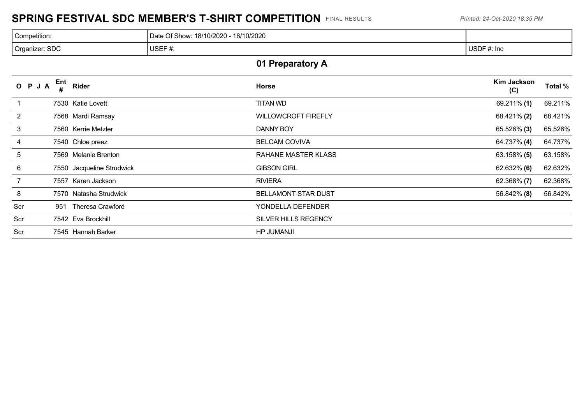## **SPRING FESTIVAL SDC MEMBER'S T-SHIRT COMPETITION** FINAL RESULTS *Printed: 24-Oct-2020 18:35 PM*

| Competition:   | 18/10/2020<br>Date Of Show: 18/10/2020 - 1 |             |
|----------------|--------------------------------------------|-------------|
| Organizer: SDC | USEF#:                                     | USDF #: Inc |

# **01 Preparatory A**

|     | O P J A | Ent  | Rider                     | Horse                       | Kim Jackson<br>(C) | Total % |
|-----|---------|------|---------------------------|-----------------------------|--------------------|---------|
|     |         |      | 7530 Katie Lovett         | <b>TITAN WD</b>             | 69.211% (1)        | 69.211% |
| 2   |         |      | 7568 Mardi Ramsay         | <b>WILLOWCROFT FIREFLY</b>  | 68.421% (2)        | 68.421% |
| 3   |         |      | 7560 Kerrie Metzler       | DANNY BOY                   | 65.526% (3)        | 65.526% |
| 4   |         |      | 7540 Chloe preez          | <b>BELCAM COVIVA</b>        | 64.737% (4)        | 64.737% |
| 5   |         |      | 7569 Melanie Brenton      | RAHANE MASTER KLASS         | $63.158\%$ (5)     | 63.158% |
| 6   |         |      | 7550 Jacqueline Strudwick | <b>GIBSON GIRL</b>          | 62.632% (6)        | 62.632% |
|     |         | 7557 | Karen Jackson             | <b>RIVIERA</b>              | 62.368% (7)        | 62.368% |
| 8   |         |      | 7570 Natasha Strudwick    | <b>BELLAMONT STAR DUST</b>  | 56.842% (8)        | 56.842% |
| Scr |         | 951  | Theresa Crawford          | YONDELLA DEFENDER           |                    |         |
| Scr |         |      | 7542 Eva Brockhill        | <b>SILVER HILLS REGENCY</b> |                    |         |
| Scr |         |      | 7545 Hannah Barker        | <b>HP JUMANJI</b>           |                    |         |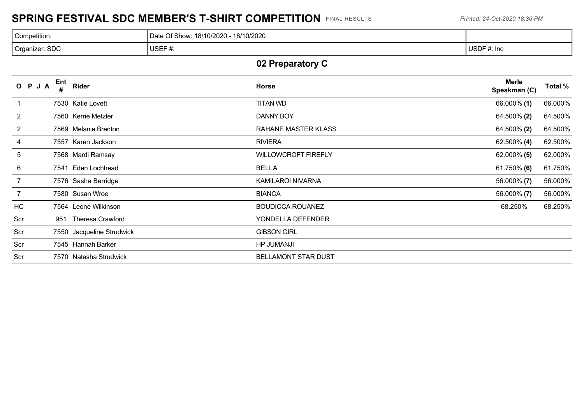## **SPRING FESTIVAL SDC MEMBER'S T-SHIRT COMPETITION** FINAL RESULTS *Printed: 24-Oct-2020 18:36 PM*

| Competition:                | 18/10/2020<br>Date Of Show:<br>18/10/2020 - |             |
|-----------------------------|---------------------------------------------|-------------|
| <sup>1</sup> Organizer: SDC | USEF#:                                      | USDF #: Inc |

# **02 Preparatory C**

|                | O P J A | Ent<br># | Rider                     | <b>Horse</b>               | <b>Merle</b><br>Speakman (C) | Total % |
|----------------|---------|----------|---------------------------|----------------------------|------------------------------|---------|
|                |         |          | 7530 Katie Lovett         | <b>TITAN WD</b>            | 66.000% (1)                  | 66.000% |
| 2              |         |          | 7560 Kerrie Metzler       | DANNY BOY                  | 64.500% (2)                  | 64.500% |
| $\overline{2}$ |         |          | 7569 Melanie Brenton      | RAHANE MASTER KLASS        | 64.500% (2)                  | 64.500% |
| 4              |         |          | 7557 Karen Jackson        | <b>RIVIERA</b>             | 62.500% (4)                  | 62.500% |
| 5              |         |          | 7568 Mardi Ramsay         | <b>WILLOWCROFT FIREFLY</b> | $62.000\%$ (5)               | 62.000% |
| 6              |         |          | 7541 Eden Lochhead        | <b>BELLA</b>               | 61.750% (6)                  | 61.750% |
| 7              |         |          | 7576 Sasha Berridge       | KAMILAROI NIVARNA          | 56.000% (7)                  | 56.000% |
|                |         |          | 7580 Susan Wroe           | <b>BIANCA</b>              | 56.000% (7)                  | 56.000% |
| HC             |         |          | 7564 Leone Wilkinson      | <b>BOUDICCA ROUANEZ</b>    | 68.250%                      | 68.250% |
| Scr            |         | 951      | <b>Theresa Crawford</b>   | YONDELLA DEFENDER          |                              |         |
| Scr            |         |          | 7550 Jacqueline Strudwick | <b>GIBSON GIRL</b>         |                              |         |
| Scr            |         |          | 7545 Hannah Barker        | <b>HP JUMANJI</b>          |                              |         |
| Scr            |         |          | 7570 Natasha Strudwick    | <b>BELLAMONT STAR DUST</b> |                              |         |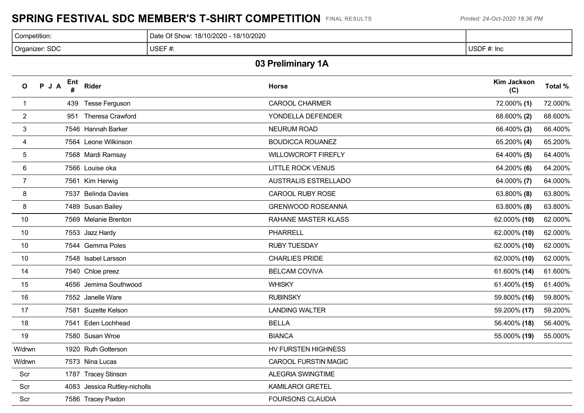#### **SPRING FESTIVAL SDC MEMBER'S T-SHIRT COMPETITION** FINAL RESULTS *Printed: 24-Oct-2020 18:36 PM*

| Competition:   | Date Of Show: 18/10/2020 - 18/10/2020 |             |
|----------------|---------------------------------------|-------------|
| Organizer: SDC | USEF#:                                | USDF #: Inc |

## **03 Preliminary 1A**

| $\mathsf{o}$    | PJA | Ent | Rider                         | <b>Horse</b>                | <b>Kim Jackson</b><br>(C) | Total % |
|-----------------|-----|-----|-------------------------------|-----------------------------|---------------------------|---------|
| $\mathbf{1}$    |     |     | 439 Tesse Ferguson            | <b>CAROOL CHARMER</b>       | 72.000% (1)               | 72.000% |
| $\overline{2}$  |     | 951 | Theresa Crawford              | YONDELLA DEFENDER           | 68.600% (2)               | 68.600% |
| $\mathbf{3}$    |     |     | 7546 Hannah Barker            | NEURUM ROAD                 | 66.400% (3)               | 66.400% |
| 4               |     |     | 7564 Leone Wilkinson          | <b>BOUDICCA ROUANEZ</b>     | 65.200% (4)               | 65.200% |
| $5\phantom{.0}$ |     |     | 7568 Mardi Ramsay             | WILLOWCROFT FIREFLY         | 64.400% (5)               | 64.400% |
| $6\phantom{.}6$ |     |     | 7566 Louise oka               | <b>LITTLE ROCK VENUS</b>    | 64.200% (6)               | 64.200% |
| $\overline{7}$  |     |     | 7561 Kim Herwig               | <b>AUSTRALIS ESTRELLADO</b> | 64.000% (7)               | 64.000% |
| 8               |     |     | 7537 Belinda Davies           | <b>CAROOL RUBY ROSE</b>     | 63.800% (8)               | 63.800% |
| 8               |     |     | 7489 Susan Bailey             | <b>GRENWOOD ROSEANNA</b>    | 63.800% (8)               | 63.800% |
| 10              |     |     | 7569 Melanie Brenton          | <b>RAHANE MASTER KLASS</b>  | 62.000% (10)              | 62.000% |
| 10              |     |     | 7553 Jazz Hardy               | <b>PHARRELL</b>             | 62.000% (10)              | 62.000% |
| 10              |     |     | 7544 Gemma Poles              | <b>RUBY TUESDAY</b>         | 62.000% (10)              | 62.000% |
| 10              |     |     | 7548 Isabel Larsson           | <b>CHARLIES PRIDE</b>       | 62.000% (10)              | 62.000% |
| 14              |     |     | 7540 Chloe preez              | <b>BELCAM COVIVA</b>        | 61.600% (14)              | 61.600% |
| 15              |     |     | 4656 Jemima Southwood         | <b>WHISKY</b>               | 61.400% (15)              | 61.400% |
| 16              |     |     | 7552 Janelle Ware             | <b>RUBINSKY</b>             | 59.800% (16)              | 59.800% |
| 17              |     |     | 7581 Suzette Kelson           | <b>LANDING WALTER</b>       | 59.200% (17)              | 59.200% |
| 18              |     |     | 7541 Eden Lochhead            | <b>BELLA</b>                | 56.400% (18)              | 56.400% |
| 19              |     |     | 7580 Susan Wroe               | <b>BIANCA</b>               | 55.000% (19)              | 55.000% |
| W/drwn          |     |     | 1920 Ruth Gotterson           | HV FURSTEN HIGHNESS         |                           |         |
| W/drwn          |     |     | 7573 Nina Lucas               | <b>CAROOL FURSTIN MAGIC</b> |                           |         |
| Scr             |     |     | 1787 Tracey Stinson           | <b>ALEGRIA SWINGTIME</b>    |                           |         |
| Scr             |     |     | 4083 Jessica Ruttley-nicholls | <b>KAMILAROI GRETEL</b>     |                           |         |
| Scr             |     |     | 7586 Tracey Paxton            | <b>FOURSONS CLAUDIA</b>     |                           |         |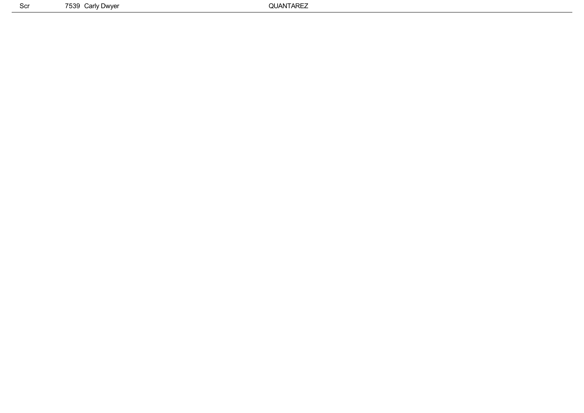Scr 7539 Carly Dwyer 2004 COVER 2005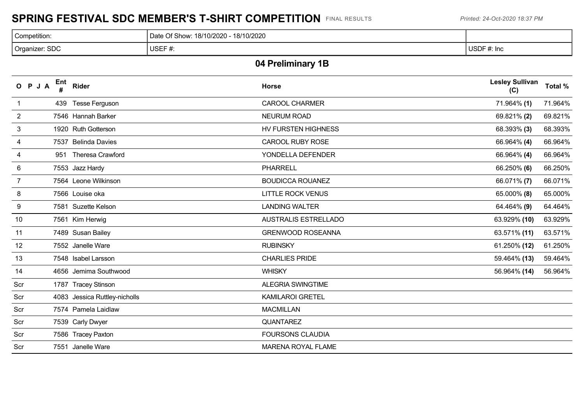## **SPRING FESTIVAL SDC MEMBER'S T-SHIRT COMPETITION** FINAL RESULTS *Printed: 24-Oct-2020 18:37 PM*

| Competition:                                               | 18/10/2020<br>ी Show: ⊥<br>18/10/2020<br>Date |                    |
|------------------------------------------------------------|-----------------------------------------------|--------------------|
| : SDC<br>Organizer:<br>the contract of the contract of the | USEF#:                                        | USDF#:<br>· #: Inc |

## **04 Preliminary 1B**

| OPJA           | Ent<br># | <b>Rider</b>                  | <b>Horse</b>                | <b>Lesley Sullivan</b><br>(C) | Total % |
|----------------|----------|-------------------------------|-----------------------------|-------------------------------|---------|
|                | 439      | <b>Tesse Ferguson</b>         | <b>CAROOL CHARMER</b>       | 71.964% (1)                   | 71.964% |
| 2              |          | 7546 Hannah Barker            | <b>NEURUM ROAD</b>          | 69.821% (2)                   | 69.821% |
| 3              |          | 1920 Ruth Gotterson           | HV FURSTEN HIGHNESS         | 68.393% (3)                   | 68.393% |
| 4              |          | 7537 Belinda Davies           | <b>CAROOL RUBY ROSE</b>     | 66.964% (4)                   | 66.964% |
| 4              |          | 951 Theresa Crawford          | YONDELLA DEFENDER           | 66.964% (4)                   | 66.964% |
| 6              |          | 7553 Jazz Hardy               | <b>PHARRELL</b>             | 66.250% (6)                   | 66.250% |
| $\overline{7}$ |          | 7564 Leone Wilkinson          | <b>BOUDICCA ROUANEZ</b>     | 66.071% (7)                   | 66.071% |
| 8              |          | 7566 Louise oka               | <b>LITTLE ROCK VENUS</b>    | 65.000% (8)                   | 65.000% |
| 9              |          | 7581 Suzette Kelson           | <b>LANDING WALTER</b>       | 64.464% (9)                   | 64.464% |
| 10             |          | 7561 Kim Herwig               | <b>AUSTRALIS ESTRELLADO</b> | 63.929% (10)                  | 63.929% |
| 11             |          | 7489 Susan Bailey             | <b>GRENWOOD ROSEANNA</b>    | 63.571% (11)                  | 63.571% |
| 12             |          | 7552 Janelle Ware             | <b>RUBINSKY</b>             | 61.250% (12)                  | 61.250% |
| 13             |          | 7548 Isabel Larsson           | <b>CHARLIES PRIDE</b>       | 59.464% (13)                  | 59.464% |
| 14             |          | 4656 Jemima Southwood         | <b>WHISKY</b>               | 56.964% (14)                  | 56.964% |
| Scr            |          | 1787 Tracey Stinson           | <b>ALEGRIA SWINGTIME</b>    |                               |         |
| Scr            |          | 4083 Jessica Ruttley-nicholls | <b>KAMILAROI GRETEL</b>     |                               |         |
| Scr            |          | 7574 Pamela Laidlaw           | <b>MACMILLAN</b>            |                               |         |
| Scr            |          | 7539 Carly Dwyer              | QUANTAREZ                   |                               |         |
| Scr            |          | 7586 Tracey Paxton            | <b>FOURSONS CLAUDIA</b>     |                               |         |
| Scr            |          | 7551 Janelle Ware             | <b>MARENA ROYAL FLAME</b>   |                               |         |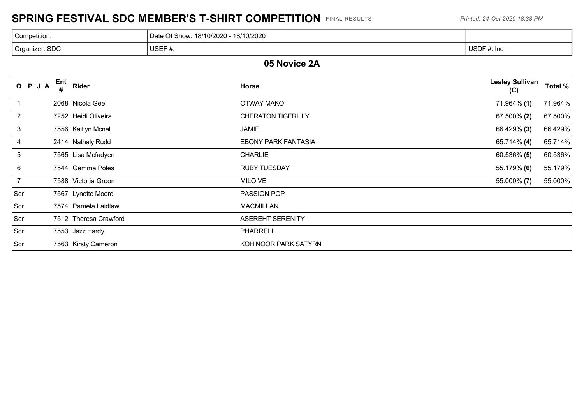## **SPRING FESTIVAL SDC MEMBER'S T-SHIRT COMPETITION** FINAL RESULTS *Printed: 24-Oct-2020 18:38 PM*

| Competition:   | 18/10/2020<br>Date Of Show: 18/10/2020 - |             |
|----------------|------------------------------------------|-------------|
| Organizer: SDC | USEF#:                                   | USDF #: Inc |

#### **05 Novice 2A**

|     | O P J A | Ent | <b>Rider</b>          | <b>Horse</b>               | <b>Lesley Sullivan</b><br>(C) | Total % |
|-----|---------|-----|-----------------------|----------------------------|-------------------------------|---------|
|     |         |     | 2068 Nicola Gee       | <b>OTWAY MAKO</b>          | 71.964% (1)                   | 71.964% |
| 2   |         |     | 7252 Heidi Oliveira   | <b>CHERATON TIGERLILY</b>  | 67.500% (2)                   | 67.500% |
| 3   |         |     | 7556 Kaitlyn Mcnall   | JAMIE                      | 66.429% (3)                   | 66.429% |
| 4   |         |     | 2414 Nathaly Rudd     | <b>EBONY PARK FANTASIA</b> | 65.714% (4)                   | 65.714% |
| 5   |         |     | 7565 Lisa Mcfadyen    | <b>CHARLIE</b>             | $60.536\%$ (5)                | 60.536% |
| 6   |         |     | 7544 Gemma Poles      | <b>RUBY TUESDAY</b>        | 55.179% (6)                   | 55.179% |
| 7   |         |     | 7588 Victoria Groom   | MILO VE                    | 55.000% (7)                   | 55.000% |
| Scr |         |     | 7567 Lynette Moore    | PASSION POP                |                               |         |
| Scr |         |     | 7574 Pamela Laidlaw   | <b>MACMILLAN</b>           |                               |         |
| Scr |         |     | 7512 Theresa Crawford | <b>ASEREHT SERENITY</b>    |                               |         |
| Scr |         |     | 7553 Jazz Hardy       | <b>PHARRELL</b>            |                               |         |
| Scr |         |     | 7563 Kirsty Cameron   | KOHINOOR PARK SATYRN       |                               |         |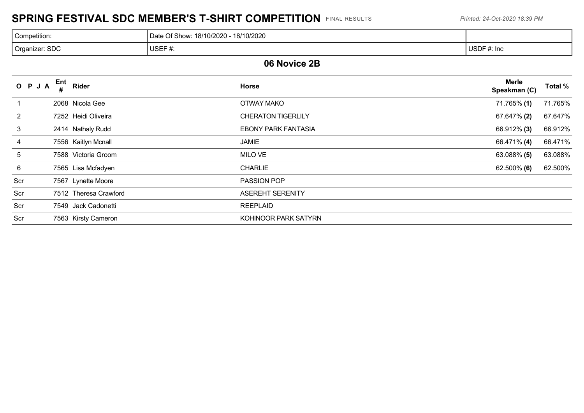## **SPRING FESTIVAL SDC MEMBER'S T-SHIRT COMPETITION** FINAL RESULTS *Printed: 24-Oct-2020 18:39 PM*

| Competition:              | 18/10/2020<br>Of Show: 18/10/2020<br>⊃ate |             |
|---------------------------|-------------------------------------------|-------------|
| CDO<br>Organizer:<br>. טש | USEF $f$<br>π.                            | USDF #: Inc |

#### **06 Novice 2B**

| O P J A | Ent | Rider                 | <b>Horse</b>               | <b>Merle</b><br>Speakman (C) | Total % |
|---------|-----|-----------------------|----------------------------|------------------------------|---------|
|         |     | 2068 Nicola Gee       | <b>OTWAY MAKO</b>          | 71.765% (1)                  | 71.765% |
| 2       |     | 7252 Heidi Oliveira   | <b>CHERATON TIGERLILY</b>  | 67.647% (2)                  | 67.647% |
| 3       |     | 2414 Nathaly Rudd     | <b>EBONY PARK FANTASIA</b> | 66.912% (3)                  | 66.912% |
| 4       |     | 7556 Kaitlyn Mcnall   | JAMIE                      | 66.471% (4)                  | 66.471% |
| 5       |     | 7588 Victoria Groom   | MILO VE                    | 63.088% (5)                  | 63.088% |
| 6       |     | 7565 Lisa Mcfadyen    | <b>CHARLIE</b>             | $62.500\%$ (6)               | 62.500% |
| Scr     |     | 7567 Lynette Moore    | <b>PASSION POP</b>         |                              |         |
| Scr     |     | 7512 Theresa Crawford | <b>ASEREHT SERENITY</b>    |                              |         |
| Scr     |     | 7549 Jack Cadonetti   | <b>REEPLAID</b>            |                              |         |
| Scr     |     | 7563 Kirsty Cameron   | KOHINOOR PARK SATYRN       |                              |         |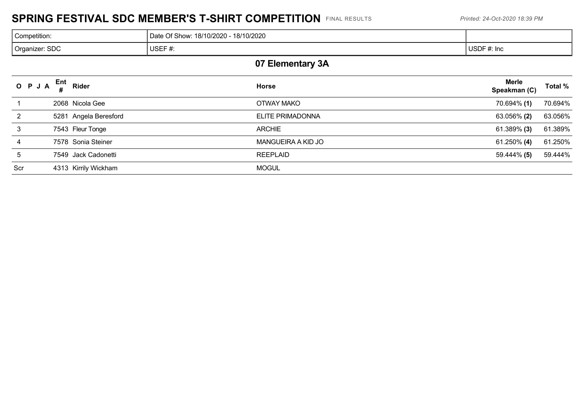## **SPRING FESTIVAL SDC MEMBER'S T-SHIRT COMPETITION** FINAL RESULTS *Printed: 24-Oct-2020 18:39 PM*

| Competition:   | 18/10/2020<br>Date Of Show: 18/10/2020 |             |
|----------------|----------------------------------------|-------------|
| Organizer: SDC | USEF#:                                 | USDF #: Inc |

## **07 Elementary 3A**

| O P J A | $\mathsf{Ent}_{\mu}$ Rider | <b>Horse</b>       | Merle<br>Total %<br>Speakman (C) |
|---------|----------------------------|--------------------|----------------------------------|
|         | 2068 Nicola Gee            | OTWAY MAKO         | 70.694% (1)<br>70.694%           |
|         | 5281 Angela Beresford      | ELITE PRIMADONNA   | 63.056%<br>63.056% (2)           |
| 3       | 7543 Fleur Tonge           | <b>ARCHIE</b>      | 61.389%<br>61.389% (3)           |
| 4       | 7578 Sonia Steiner         | MANGUEIRA A KID JO | 61.250%<br>61.250% (4)           |
| 5       | 7549 Jack Cadonetti        | <b>REEPLAID</b>    | 59.444%<br>59.444% (5)           |
| Scr     | 4313 Kirrily Wickham       | <b>MOGUL</b>       |                                  |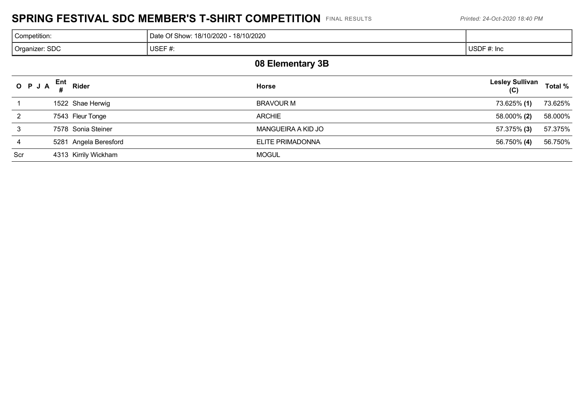#### **SPRING FESTIVAL SDC MEMBER'S T-SHIRT COMPETITION** FINAL RESULTS *Printed: 24-Oct-2020 18:40 PM*

| Competition:     | Date Of Show: 18/10/2020 - 18/10/2020 |             |  |  |
|------------------|---------------------------------------|-------------|--|--|
| Organizer: SDC   | USEF#:                                | USDF #: Inc |  |  |
| 00 Elementsni 9D |                                       |             |  |  |

#### **08 Elementary 3B**

|     | O P J A $_{\rm H}^{\rm Ent}$ Rider | <b>Horse</b>       | <b>Lesley Sullivan</b><br><b>Total %</b><br>(C) |
|-----|------------------------------------|--------------------|-------------------------------------------------|
|     | 1522 Shae Herwig                   | <b>BRAVOUR M</b>   | 73.625%<br>73.625% (1)                          |
| 2   | 7543 Fleur Tonge                   | <b>ARCHIE</b>      | 58.000%<br>58.000% (2)                          |
|     | 7578 Sonia Steiner                 | MANGUEIRA A KID JO | 57.375%<br>57.375% (3)                          |
| 4   | 5281 Angela Beresford              | ELITE PRIMADONNA   | 56.750%<br>56.750% (4)                          |
| Scr | 4313 Kirrily Wickham               | <b>MOGUL</b>       |                                                 |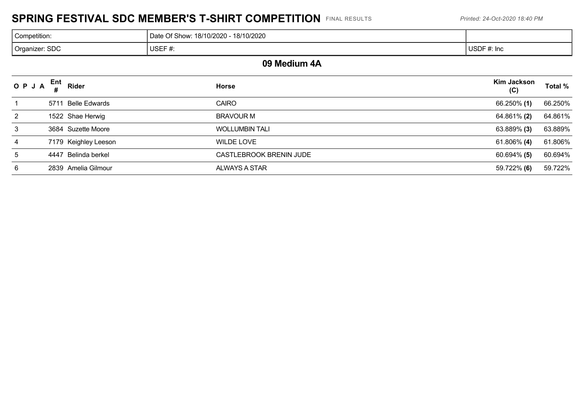## **SPRING FESTIVAL SDC MEMBER'S T-SHIRT COMPETITION** FINAL RESULTS *Printed: 24-Oct-2020 18:40 PM*

| Competition:   | 18/10/2020<br>Date Of Show: 18/10/2020 - |             |
|----------------|------------------------------------------|-------------|
| Organizer: SDC | USEF#:                                   | USDF #: Inc |

#### **09 Medium 4A**

| OPJA | Ent <sub>Rider</sub> | <b>Horse</b>            | <b>Kim Jackson</b><br>(C) | Total % |
|------|----------------------|-------------------------|---------------------------|---------|
|      | 5711 Belle Edwards   | <b>CAIRO</b>            | 66.250% (1)               | 66.250% |
| 2    | 1522 Shae Herwig     | <b>BRAVOUR M</b>        | 64.861% (2)               | 64.861% |
| 3    | 3684 Suzette Moore   | <b>WOLLUMBIN TALI</b>   | 63.889% (3)               | 63.889% |
| 4    | 7179 Keighley Leeson | WILDE LOVE              | $61.806\%$ (4)            | 61.806% |
| 5    | 4447 Belinda berkel  | CASTLEBROOK BRENIN JUDE | $60.694\%$ (5)            | 60.694% |
| 6    | 2839 Amelia Gilmour  | ALWAYS A STAR           | 59.722% (6)               | 59.722% |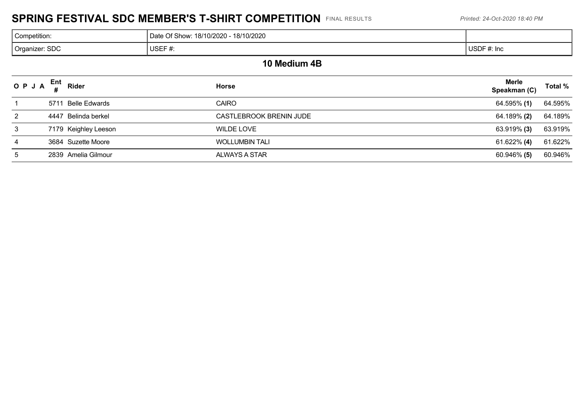## **SPRING FESTIVAL SDC MEMBER'S T-SHIRT COMPETITION** FINAL RESULTS *Printed: 24-Oct-2020 18:40 PM*

| Competition:   | 18/10/2020<br>Date Of Show: 18/10/2020 |                 |
|----------------|----------------------------------------|-----------------|
| Organizer: SDC | USEF#:                                 | USDF#<br>#: Inc |

#### **10 Medium 4B**

| OPJA                 | Ent<br>Rider         | <b>Horse</b>            | Merle<br>Speakman (C) | Total % |
|----------------------|----------------------|-------------------------|-----------------------|---------|
|                      | 5711 Belle Edwards   | <b>CAIRO</b>            | 64.595% (1)           | 64.595% |
| $\mathbf{2}^{\circ}$ | 4447 Belinda berkel  | CASTLEBROOK BRENIN JUDE | 64.189% (2)           | 64.189% |
| 3                    | 7179 Keighley Leeson | WILDE LOVE              | 63.919% ( <b>3)</b>   | 63.919% |
| 4                    | 3684 Suzette Moore   | <b>WOLLUMBIN TALI</b>   | 61.622% <b>(4)</b>    | 61.622% |
| $\mathbf b$          | 2839 Amelia Gilmour  | ALWAYS A STAR           | 60.946% (5)           | 60.946% |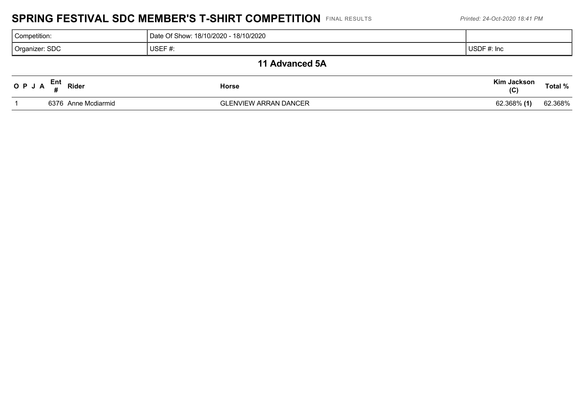#### **SPRING FESTIVAL SDC MEMBER'S T-SHIRT COMPETITION** FINAL RESULTS *Printed: 24-Oct-2020 18:41 PM*

| Competition:                       | Date Of Show: 18/10/2020 - 18/10/2020 |                    |         |  |  |
|------------------------------------|---------------------------------------|--------------------|---------|--|--|
| Organizer: SDC                     | USEF#:                                | USDF #: Inc        |         |  |  |
|                                    | 11 Advanced 5A                        |                    |         |  |  |
| O P J A $_{\rm H}^{\rm Ent}$ Rider | <b>Horse</b>                          | Kim Jackson<br>(C) | Total % |  |  |

1 6376 Anne Mcdiarmid GLENVIEW ARRAN DANCER 62.368% **(1)** 62.368%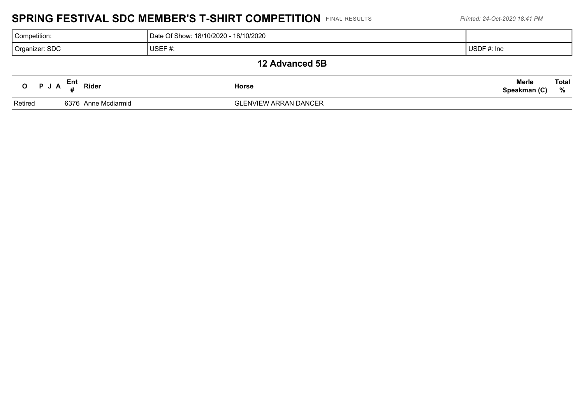## **SPRING FESTIVAL SDC MEMBER'S T-SHIRT COMPETITION** FINAL RESULTS *Printed: 24-Oct-2020 18:41 PM*

| Competition:   |                                    |  |                     | Date Of Show: 18/10/2020 - 18/10/2020 |                              |                   |
|----------------|------------------------------------|--|---------------------|---------------------------------------|------------------------------|-------------------|
| Organizer: SDC |                                    |  | USEF $#$ :          | USDF #: Inc                           |                              |                   |
|                |                                    |  |                     | 12 Advanced 5B                        |                              |                   |
|                | O $P \cup A$ $\frac{Ent}{H}$ Rider |  |                     | Horse                                 | <b>Merle</b><br>Speakman (C) | <b>Total</b><br>% |
| Retired        |                                    |  | 6376 Anne Mcdiarmid | <b>GLENVIEW ARRAN DANCER</b>          |                              |                   |